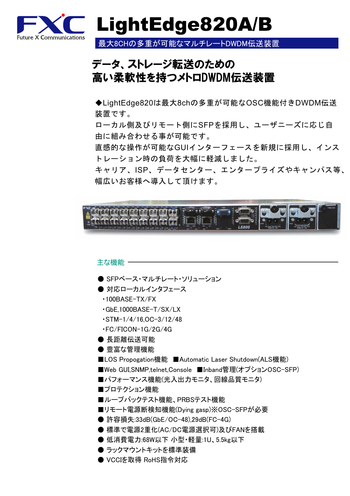

LightEdge820A/B

最大8CHの多重が可能なマルチレートDWDM伝送装置

## データ、ストレージ転送のための 高い柔軟性を持つメトロDWDM伝送装置

◆LightEdge820は最大8chの多重が可能なOSC機能付きDWDM伝送 装置です。

ローカル側及びリモート側にSFPを採用し、ユーザニーズに応じ自 由に組み合わせる事が可能です。

直感的な操作が可能なGUIインターフェースを新規に採用し、インス トレーション時の負荷を大幅に軽減しました。

キャリア、ISP、データセンター、エンタープライズやキャンパス等、 幅広いお客様へ導入して頂けます。



### 主な機能 ー ● SFPベース・マルチレート・ソリューション ● 対応ローカルインタフェース ・100BASE-TX/FX ・GbE,1000BASE-T/SX/LX ・STM-1/4/16,OC-3/12/48 ・FC/FICON-1G/2G/4G ● 長距離伝送可能 ● 豊富な管理機能 ■LOS Propogation機能 ■Automatic Laser Shutdown(ALS機能) ■Web GUI,SNMP,telnet,Console ■Inband管理(オプションOSC-SFP) ■パフォーマンス機能(光入出力モニタ、回線品質モニタ) ■プロテクション機能 ■ループバックテスト機能、PRBSテスト機能 ■リモート電源断検知機能(Dying gasp)※OSC-SFPが必要 ● 許容損失:33dB(GbE/OC-48),29dB(FC-4G) ● 標準で電源2重化(AC/DC電源選択可)及びFANを搭載 ● 低消費電力:68W以下 小型・軽量:1U、5.5kg以下 ● ラックマウントキットを標準装備 ● VCCIを取得 RoHS指令対応